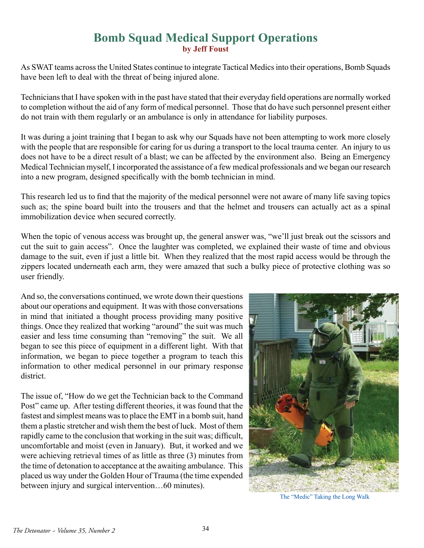## **Bomb Squad Medical Support Operations by Jeff Foust**

As SWAT teams across the United States continue to integrate Tactical Medics into their operations, Bomb Squads have been left to deal with the threat of being injured alone.

Technicians that I have spoken with in the past have stated that their everyday field operations are normally worked to completion without the aid of any form of medical personnel. Those that do have such personnel present either do not train with them regularly or an ambulance is only in attendance for liability purposes.

It was during a joint training that I began to ask why our Squads have not been attempting to work more closely with the people that are responsible for caring for us during a transport to the local trauma center. An injury to us does not have to be a direct result of a blast; we can be affected by the environment also. Being an Emergency Medical Technician myself, I incorporated the assistance of a few medical professionals and we began our research into a new program, designed specifically with the bomb technician in mind.

This research led us to find that the majority of the medical personnel were not aware of many life saving topics such as; the spine board built into the trousers and that the helmet and trousers can actually act as a spinal immobilization device when secured correctly.

When the topic of venous access was brought up, the general answer was, "we'll just break out the scissors and cut the suit to gain access". Once the laughter was completed, we explained their waste of time and obvious damage to the suit, even if just a little bit. When they realized that the most rapid access would be through the zippers located underneath each arm, they were amazed that such a bulky piece of protective clothing was so user friendly.

And so, the conversations continued, we wrote down their questions about our operations and equipment. It was with those conversations in mind that initiated a thought process providing many positive things. Once they realized that working "around" the suit was much easier and less time consuming than "removing" the suit. We all began to see this piece of equipment in a different light. With that information, we began to piece together a program to teach this information to other medical personnel in our primary response district.

The issue of, "How do we get the Technician back to the Command Post" came up. After testing different theories, it was found that the fastest and simplest means was to place the EMT in a bomb suit, hand them a plastic stretcher and wish them the best of luck. Most of them rapidly came to the conclusion that working in the suit was; difficult, uncomfortable and moist (even in January). But, it worked and we were achieving retrieval times of as little as three (3) minutes from the time of detonation to acceptance at the awaiting ambulance. This placed us way under the Golden Hour of Trauma (the time expended between injury and surgical intervention…60 minutes).



The "Medic" Taking the Long Walk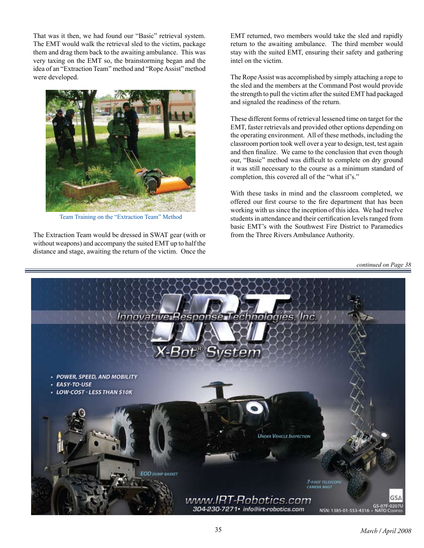That was it then, we had found our "Basic" retrieval system. The EMT would walk the retrieval sled to the victim, package them and drag them back to the awaiting ambulance. This was very taxing on the EMT so, the brainstorming began and the idea of an "Extraction Team" method and "Rope Assist" method were developed.



Team Training on the "Extraction Team" Method

The Extraction Team would be dressed in SWAT gear (with or without weapons) and accompany the suited EMT up to half the distance and stage, awaiting the return of the victim. Once the EMT returned, two members would take the sled and rapidly return to the awaiting ambulance. The third member would stay with the suited EMT, ensuring their safety and gathering intel on the victim.

The Rope Assist was accomplished by simply attaching a rope to the sled and the members at the Command Post would provide the strength to pull the victim after the suited EMT had packaged and signaled the readiness of the return.

These different forms of retrieval lessened time on target for the EMT, faster retrievals and provided other options depending on the operating environment. All of these methods, including the classroom portion took well over a year to design, test, test again and then finalize. We came to the conclusion that even though our, "Basic" method was difficult to complete on dry ground it was still necessary to the course as a minimum standard of completion, this covered all of the "what if's."

With these tasks in mind and the classroom completed, we offered our first course to the fire department that has been working with us since the inception of this idea. We had twelve students in attendance and their certification levels ranged from basic EMT's with the Southwest Fire District to Paramedics from the Three Rivers Ambulance Authority.

*continued on Page 38*

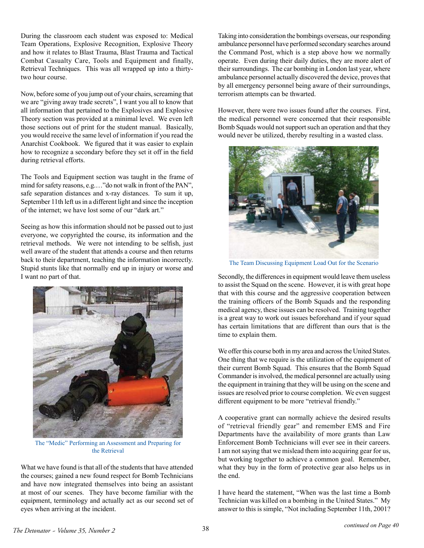During the classroom each student was exposed to: Medical Team Operations, Explosive Recognition, Explosive Theory and how it relates to Blast Trauma, Blast Trauma and Tactical Combat Casualty Care, Tools and Equipment and finally, Retrieval Techniques. This was all wrapped up into a thirtytwo hour course.

Now, before some of you jump out of your chairs, screaming that we are "giving away trade secrets", I want you all to know that all information that pertained to the Explosives and Explosive Theory section was provided at a minimal level. We even left those sections out of print for the student manual. Basically, you would receive the same level of information if you read the Anarchist Cookbook. We figured that it was easier to explain how to recognize a secondary before they set it off in the field during retrieval efforts.

The Tools and Equipment section was taught in the frame of mind for safety reasons, e.g.…"do not walk in front of the PAN", safe separation distances and x-ray distances. To sum it up, September 11th left us in a different light and since the inception of the internet; we have lost some of our "dark art."

Seeing as how this information should not be passed out to just everyone, we copyrighted the course, its information and the retrieval methods. We were not intending to be selfish, just well aware of the student that attends a course and then returns back to their department, teaching the information incorrectly. Stupid stunts like that normally end up in injury or worse and I want no part of that.



The "Medic" Performing an Assessment and Preparing for the Retrieval

What we have found is that all of the students that have attended the courses; gained a new found respect for Bomb Technicians and have now integrated themselves into being an assistant at most of our scenes. They have become familiar with the equipment, terminology and actually act as our second set of eyes when arriving at the incident.

Taking into consideration the bombings overseas, our responding ambulance personnel have performed secondary searches around the Command Post, which is a step above how we normally operate. Even during their daily duties, they are more alert of their surroundings. The car bombing in London last year, where ambulance personnel actually discovered the device, proves that by all emergency personnel being aware of their surroundings, terrorism attempts can be thwarted.

However, there were two issues found after the courses. First, the medical personnel were concerned that their responsible Bomb Squads would not support such an operation and that they would never be utilized, thereby resulting in a wasted class.



The Team Discussing Equipment Load Out for the Scenario

Secondly, the differences in equipment would leave them useless to assist the Squad on the scene. However, it is with great hope that with this course and the aggressive cooperation between the training officers of the Bomb Squads and the responding medical agency, these issues can be resolved. Training together is a great way to work out issues beforehand and if your squad has certain limitations that are different than ours that is the time to explain them.

We offer this course both in my area and across the United States. One thing that we require is the utilization of the equipment of their current Bomb Squad. This ensures that the Bomb Squad Commander is involved, the medical personnel are actually using the equipment in training that they will be using on the scene and issues are resolved prior to course completion. We even suggest different equipment to be more "retrieval friendly."

A cooperative grant can normally achieve the desired results of "retrieval friendly gear" and remember EMS and Fire Departments have the availability of more grants than Law Enforcement Bomb Technicians will ever see in their careers. I am not saying that we mislead them into acquiring gear for us, but working together to achieve a common goal. Remember, what they buy in the form of protective gear also helps us in the end.

I have heard the statement, "When was the last time a Bomb Technician was killed on a bombing in the United States." My answer to this is simple, "Not including September 11th, 2001?